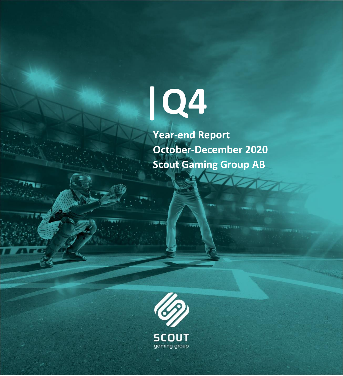

 **Year-end Report October-December 2020 Scout Gaming Group AB**

**SERVICE** 

 $\blacktriangleright$ 

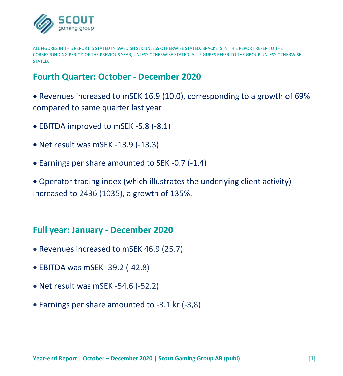

ALL FIGURES IN THIS REPORT IS STATED IN SWEDISH SEK UNLESS OTHERWISE STATED. BRACKETS IN THIS REPORT REFER TO THE CORRESPONDING PERIOD OF THE PREVIOUS YEAR, UNLESS OTHERWISE STATED. ALL FIGURES REFER TO THE GROUP UNLESS OTHERWISE **STATED.** 

## **Fourth Quarter: October - December 2020**

• Revenues increased to mSEK 16.9 (10.0), corresponding to a growth of 69% compared to same quarter last year

- EBITDA improved to mSEK -5.8 (-8.1)
- Net result was mSEK -13.9 (-13.3)
- Earnings per share amounted to SEK -0.7 (-1.4)

• Operator trading index (which illustrates the underlying client activity) increased to 2436 (1035), a growth of 135%.

### **Full year: January - December 2020**

- Revenues increased to mSEK 46.9 (25.7)
- EBITDA was mSEK -39.2 (-42.8)
- Net result was mSEK -54.6 (-52.2)
- Earnings per share amounted to -3.1 kr (-3,8)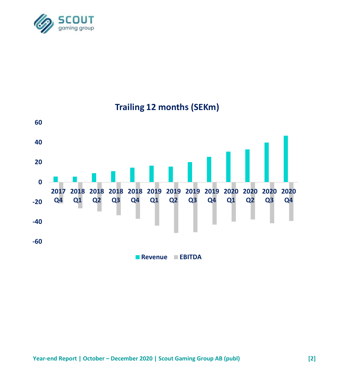



# **Trailing 12 months (SEKm)**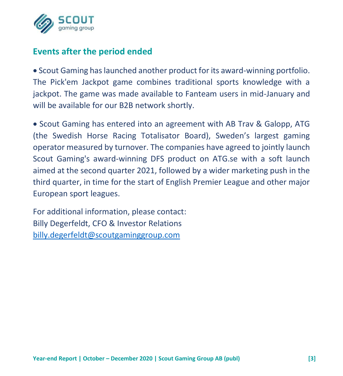

# **Events after the period ended**

• Scout Gaming has launched another product for its award-winning portfolio. The Pick'em Jackpot game combines traditional sports knowledge with a jackpot. The game was made available to Fanteam users in mid-January and will be available for our B2B network shortly.

• Scout Gaming has entered into an agreement with AB Trav & Galopp, ATG (the Swedish Horse Racing Totalisator Board), Sweden's largest gaming operator measured by turnover. The companies have agreed to jointly launch Scout Gaming's award-winning DFS product on ATG.se with a soft launch aimed at the second quarter 2021, followed by a wider marketing push in the third quarter, in time for the start of English Premier League and other major European sport leagues.

For additional information, please contact: Billy Degerfeldt, CFO & Investor Relations [billy.degerfeldt@scoutgaminggroup.com](mailto:billy.degerfeldt@scoutgaminggroup.com)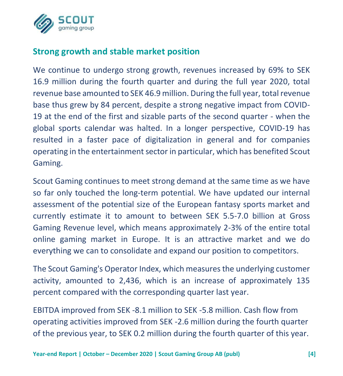

# **Strong growth and stable market position**

We continue to undergo strong growth, revenues increased by 69% to SEK 16.9 million during the fourth quarter and during the full year 2020, total revenue base amounted to SEK 46.9 million. During the full year, total revenue base thus grew by 84 percent, despite a strong negative impact from COVID-19 at the end of the first and sizable parts of the second quarter - when the global sports calendar was halted. In a longer perspective, COVID-19 has resulted in a faster pace of digitalization in general and for companies operating in the entertainment sector in particular, which has benefited Scout Gaming.

Scout Gaming continues to meet strong demand at the same time as we have so far only touched the long-term potential. We have updated our internal assessment of the potential size of the European fantasy sports market and currently estimate it to amount to between SEK 5.5-7.0 billion at Gross Gaming Revenue level, which means approximately 2-3% of the entire total online gaming market in Europe. It is an attractive market and we do everything we can to consolidate and expand our position to competitors.

The Scout Gaming's Operator Index, which measures the underlying customer activity, amounted to 2,436, which is an increase of approximately 135 percent compared with the corresponding quarter last year.

EBITDA improved from SEK -8.1 million to SEK -5.8 million. Cash flow from operating activities improved from SEK -2.6 million during the fourth quarter of the previous year, to SEK 0.2 million during the fourth quarter of this year.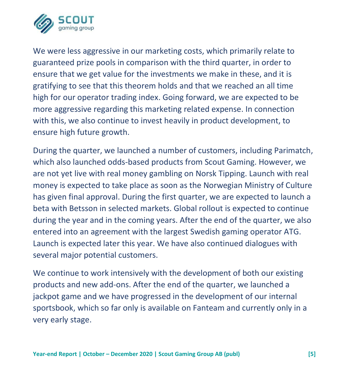

We were less aggressive in our marketing costs, which primarily relate to guaranteed prize pools in comparison with the third quarter, in order to ensure that we get value for the investments we make in these, and it is gratifying to see that this theorem holds and that we reached an all time high for our operator trading index. Going forward, we are expected to be more aggressive regarding this marketing related expense. In connection with this, we also continue to invest heavily in product development, to ensure high future growth.

During the quarter, we launched a number of customers, including Parimatch, which also launched odds-based products from Scout Gaming. However, we are not yet live with real money gambling on Norsk Tipping. Launch with real money is expected to take place as soon as the Norwegian Ministry of Culture has given final approval. During the first quarter, we are expected to launch a beta with Betsson in selected markets. Global rollout is expected to continue during the year and in the coming years. After the end of the quarter, we also entered into an agreement with the largest Swedish gaming operator ATG. Launch is expected later this year. We have also continued dialogues with several major potential customers.

We continue to work intensively with the development of both our existing products and new add-ons. After the end of the quarter, we launched a jackpot game and we have progressed in the development of our internal sportsbook, which so far only is available on Fanteam and currently only in a very early stage.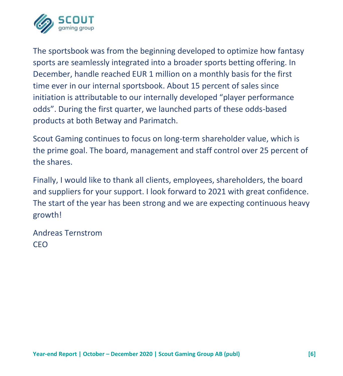

The sportsbook was from the beginning developed to optimize how fantasy sports are seamlessly integrated into a broader sports betting offering. In December, handle reached EUR 1 million on a monthly basis for the first time ever in our internal sportsbook. About 15 percent of sales since initiation is attributable to our internally developed "player performance odds". During the first quarter, we launched parts of these odds-based products at both Betway and Parimatch.

Scout Gaming continues to focus on long-term shareholder value, which is the prime goal. The board, management and staff control over 25 percent of the shares.

Finally, I would like to thank all clients, employees, shareholders, the board and suppliers for your support. I look forward to 2021 with great confidence. The start of the year has been strong and we are expecting continuous heavy growth!

Andreas Ternstrom CEO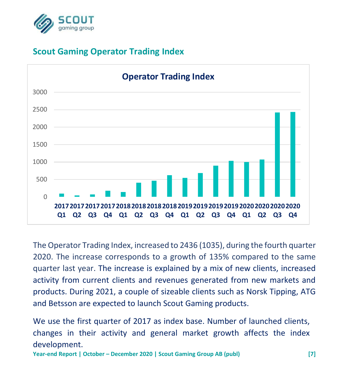

# **Scout Gaming Operator Trading Index**



The Operator Trading Index, increased to 2436 (1035), during the fourth quarter 2020. The increase corresponds to a growth of 135% compared to the same quarter last year. The increase is explained by a mix of new clients, increased activity from current clients and revenues generated from new markets and products. During 2021, a couple of sizeable clients such as Norsk Tipping, ATG and Betsson are expected to launch Scout Gaming products.

We use the first quarter of 2017 as index base. Number of launched clients, changes in their activity and general market growth affects the index development.

**Year-end Report | October – December 2020 | Scout Gaming Group AB (publ) [7]**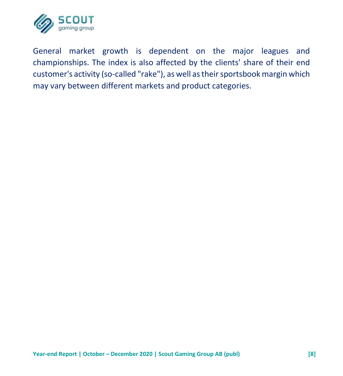

General market growth is dependent on the major leagues and championships. The index is also affected by the clients' share of their end customer's activity (so-called "rake"), as well as their sportsbook margin which may vary between different markets and product categories.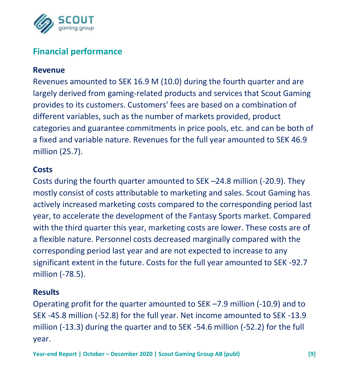

# **Financial performance**

#### **Revenue**

Revenues amounted to SEK 16.9 M (10.0) during the fourth quarter and are largely derived from gaming-related products and services that Scout Gaming provides to its customers. Customers' fees are based on a combination of different variables, such as the number of markets provided, product categories and guarantee commitments in price pools, etc. and can be both of a fixed and variable nature. Revenues for the full year amounted to SEK 46.9 million (25.7).

#### **Costs**

Costs during the fourth quarter amounted to SEK –24.8 million (-20.9). They mostly consist of costs attributable to marketing and sales. Scout Gaming has actively increased marketing costs compared to the corresponding period last year, to accelerate the development of the Fantasy Sports market. Compared with the third quarter this year, marketing costs are lower. These costs are of a flexible nature. Personnel costs decreased marginally compared with the corresponding period last year and are not expected to increase to any significant extent in the future. Costs for the full year amounted to SEK -92.7 million (-78.5).

#### **Results**

Operating profit for the quarter amounted to SEK –7.9 million (-10.9) and to SEK -45.8 million (-52.8) for the full year. Net income amounted to SEK -13.9 million (-13.3) during the quarter and to SEK -54.6 million (-52.2) for the full year.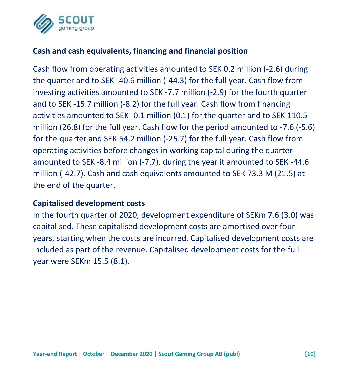

## **Cash and cash equivalents, financing and financial position**

Cash flow from operating activities amounted to SEK 0.2 million (-2.6) during the quarter and to SEK -40.6 million (-44.3) for the full year. Cash flow from investing activities amounted to SEK -7.7 million (-2.9) for the fourth quarter and to SEK -15.7 million (-8.2) for the full year. Cash flow from financing activities amounted to SEK -0.1 million (0.1) for the quarter and to SEK 110.5 million (26.8) for the full year. Cash flow for the period amounted to -7.6 (-5.6) for the quarter and SEK 54.2 million (-25.7) for the full year. Cash flow from operating activities before changes in working capital during the quarter amounted to SEK -8.4 million (-7.7), during the year it amounted to SEK -44.6 million (-42.7). Cash and cash equivalents amounted to SEK 73.3 M (21.5) at the end of the quarter.

#### **Capitalised development costs**

In the fourth quarter of 2020, development expenditure of SEKm 7.6 (3.0) was capitalised. These capitalised development costs are amortised over four years, starting when the costs are incurred. Capitalised development costs are included as part of the revenue. Capitalised development costs for the full year were SEKm 15.5 (8.1).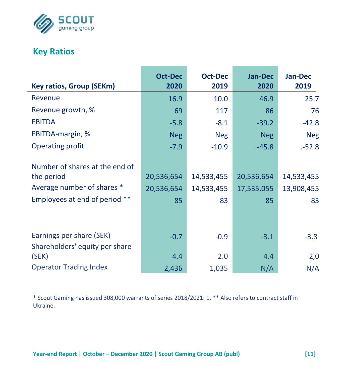

# **Key Ratios**

| <b>Key ratios, Group (SEKm)</b>                                                                             | <b>Oct-Dec</b><br>2020         | <b>Oct-Dec</b><br>2019         | <b>Jan-Dec</b><br>2020         | Jan-Dec<br>2019                |
|-------------------------------------------------------------------------------------------------------------|--------------------------------|--------------------------------|--------------------------------|--------------------------------|
| Revenue                                                                                                     | 16.9                           | 10.0                           | 46.9                           | 25.7                           |
| Revenue growth, %                                                                                           | 69                             | 117                            | 86                             | 76                             |
| <b>EBITDA</b>                                                                                               | $-5.8$                         | $-8.1$                         | $-39.2$                        | $-42.8$                        |
| EBITDA-margin, %                                                                                            | <b>Neg</b>                     | <b>Neg</b>                     | <b>Neg</b>                     | <b>Neg</b>                     |
| Operating profit                                                                                            | $-7.9$                         | $-10.9$                        | $-45.8$                        | $-52.8$                        |
| Number of shares at the end of<br>the period<br>Average number of shares *<br>Employees at end of period ** | 20,536,654<br>20,536,654<br>85 | 14,533,455<br>14,533,455<br>83 | 20,536,654<br>17,535,055<br>85 | 14,533,455<br>13,908,455<br>83 |
| Earnings per share (SEK)<br>Shareholders' equity per share                                                  | $-0.7$                         | $-0.9$                         | $-3.1$                         | $-3.8$                         |
| (SEK)                                                                                                       | 4.4                            | 2.0                            | 4.4                            | 2,0                            |
| <b>Operator Trading Index</b>                                                                               | 2,436                          | 1,035                          | N/A                            | N/A                            |

\* Scout Gaming has issued 308,000 warrants of series 2018/2021: 1. \*\* Also refers to contract staff in Ukraine.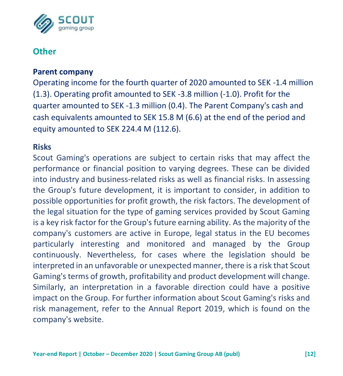

## **Other**

#### **Parent company**

Operating income for the fourth quarter of 2020 amounted to SEK -1.4 million (1.3). Operating profit amounted to SEK -3.8 million (-1.0). Profit for the quarter amounted to SEK -1.3 million (0.4). The Parent Company's cash and cash equivalents amounted to SEK 15.8 M (6.6) at the end of the period and equity amounted to SEK 224.4 M (112.6).

#### **Risks**

Scout Gaming's operations are subject to certain risks that may affect the performance or financial position to varying degrees. These can be divided into industry and business-related risks as well as financial risks. In assessing the Group's future development, it is important to consider, in addition to possible opportunities for profit growth, the risk factors. The development of the legal situation for the type of gaming services provided by Scout Gaming is a key risk factor for the Group's future earning ability. As the majority of the company's customers are active in Europe, legal status in the EU becomes particularly interesting and monitored and managed by the Group continuously. Nevertheless, for cases where the legislation should be interpreted in an unfavorable or unexpected manner, there is a risk that Scout Gaming's terms of growth, profitability and product development will change. Similarly, an interpretation in a favorable direction could have a positive impact on the Group. For further information about Scout Gaming's risks and risk management, refer to the Annual Report 2019, which is found on the company's website.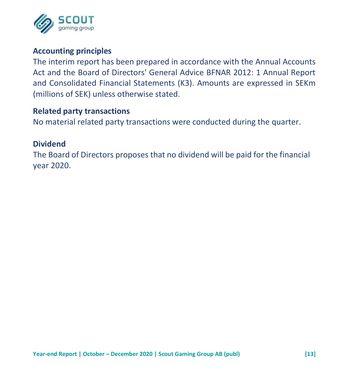

#### **Accounting principles**

The interim report has been prepared in accordance with the Annual Accounts Act and the Board of Directors' General Advice BFNAR 2012: 1 Annual Report and Consolidated Financial Statements (K3). Amounts are expressed in SEKm (millions of SEK) unless otherwise stated.

#### **Related party transactions**

No material related party transactions were conducted during the quarter.

#### **Dividend**

The Board of Directors proposes that no dividend will be paid for the financial year 2020.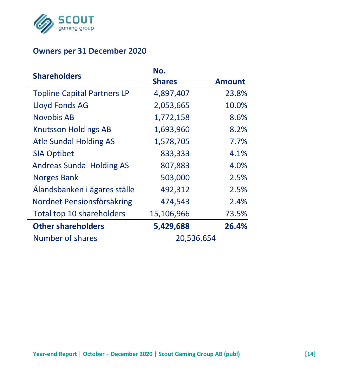

## **Owners per 31 December 2020**

| <b>Shareholders</b>                | No.           |               |
|------------------------------------|---------------|---------------|
|                                    | <b>Shares</b> | <b>Amount</b> |
| <b>Topline Capital Partners LP</b> | 4,897,407     | 23.8%         |
| Lloyd Fonds AG                     | 2,053,665     | 10.0%         |
| Novobis AB                         | 1,772,158     | 8.6%          |
| <b>Knutsson Holdings AB</b>        | 1,693,960     | 8.2%          |
| Atle Sundal Holding AS             | 1,578,705     | $7.7\%$       |
| <b>SIA Optibet</b>                 | 833,333       | 4.1%          |
| <b>Andreas Sundal Holding AS</b>   | 807,883       | 4.0%          |
| <b>Norges Bank</b>                 | 503,000       | 2.5%          |
| Ålandsbanken i ägares ställe       | 492,312       | 2.5%          |
| Nordnet Pensionsförsäkring         | 474,543       | 2.4%          |
| Total top 10 shareholders          | 15,106,966    | 73.5%         |
| <b>Other shareholders</b>          | 5,429,688     | 26.4%         |
| Number of shares                   | 20,536,654    |               |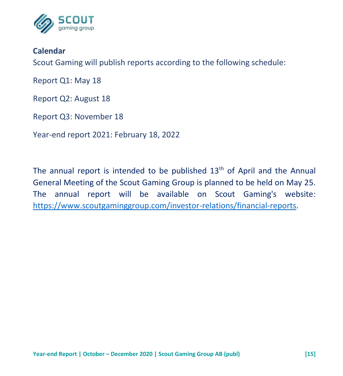

#### **Calendar**

Scout Gaming will publish reports according to the following schedule:

Report Q1: May 18

Report Q2: August 18

Report Q3: November 18

Year-end report 2021: February 18, 2022

The annual report is intended to be published  $13<sup>th</sup>$  of April and the Annual General Meeting of the Scout Gaming Group is planned to be held on May 25. The annual report will be available on Scout Gaming's website: [https://www.scoutgaminggroup.com/investor-relations/financial-reports.](https://www.scoutgaminggroup.com/investor-relations/financial-reports)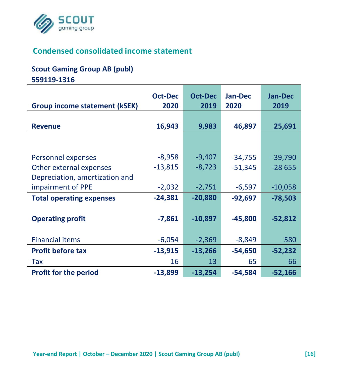

# **Condensed consolidated income statement**

#### **Scout Gaming Group AB (publ)**

**559119-1316**

| <b>Group income statement (kSEK)</b> | <b>Oct-Dec</b><br>2020 | <b>Oct-Dec</b><br>2019 | <b>Jan-Dec</b><br>2020 | <b>Jan-Dec</b><br>2019 |
|--------------------------------------|------------------------|------------------------|------------------------|------------------------|
| <b>Revenue</b>                       | 16,943                 | 9,983                  | 46,897                 | 25,691                 |
|                                      |                        |                        |                        |                        |
|                                      |                        |                        |                        |                        |
| Personnel expenses                   | $-8,958$               | $-9,407$               | $-34,755$              | $-39,790$              |
| Other external expenses              | $-13,815$              | $-8,723$               | $-51,345$              | $-28655$               |
| Depreciation, amortization and       |                        |                        |                        |                        |
| impairment of PPE                    | $-2,032$               | $-2,751$               | $-6,597$               | $-10,058$              |
| <b>Total operating expenses</b>      | $-24,381$              | $-20,880$              | $-92,697$              | $-78,503$              |
|                                      |                        |                        |                        |                        |
| <b>Operating profit</b>              | $-7,861$               | $-10,897$              | $-45,800$              | $-52,812$              |
|                                      |                        |                        |                        |                        |
| <b>Financial items</b>               | $-6,054$               | $-2,369$               | $-8,849$               | 580                    |
| <b>Profit before tax</b>             | $-13,915$              | $-13,266$              | $-54,650$              | -52,232                |
| Tax                                  | 16                     | 13                     | 65                     | 66                     |
| <b>Profit for the period</b>         | $-13,899$              | $-13,254$              | $-54,584$              | $-52,166$              |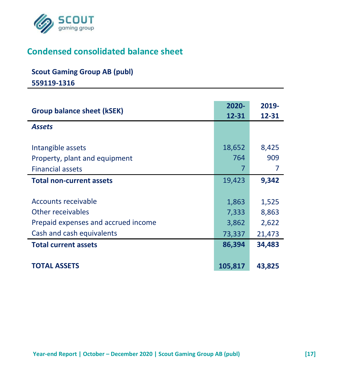

# **Condensed consolidated balance sheet**

# **Scout Gaming Group AB (publ)**

**559119-1316**

| <b>Group balance sheet (kSEK)</b>                                                                            | 2020-<br>12-31                    | 2019-<br>12-31                    |
|--------------------------------------------------------------------------------------------------------------|-----------------------------------|-----------------------------------|
| <b>Assets</b>                                                                                                |                                   |                                   |
| Intangible assets<br>Property, plant and equipment<br><b>Financial assets</b>                                | 18,652<br>764<br>7                | 8,425<br>909<br>7                 |
| <b>Total non-current assets</b>                                                                              | 19,423                            | 9,342                             |
| Accounts receivable<br>Other receivables<br>Prepaid expenses and accrued income<br>Cash and cash equivalents | 1,863<br>7,333<br>3,862<br>73,337 | 1,525<br>8,863<br>2,622<br>21,473 |
| <b>Total current assets</b>                                                                                  | 86,394                            | 34,483                            |
| <b>TOTAL ASSETS</b>                                                                                          | 105,817                           | 43,825                            |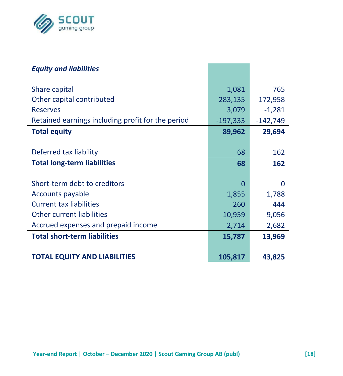

| <b>Equity and liabilities</b>                     |            |            |
|---------------------------------------------------|------------|------------|
| Share capital                                     | 1,081      | 765        |
| Other capital contributed                         | 283,135    | 172,958    |
| <b>Reserves</b>                                   | 3,079      | $-1,281$   |
| Retained earnings including profit for the period | $-197,333$ | $-142,749$ |
| <b>Total equity</b>                               | 89,962     | 29,694     |
|                                                   |            |            |
| Deferred tax liability                            | 68         | 162        |
| <b>Total long-term liabilities</b>                | 68         | 162        |
|                                                   |            |            |
| Short-term debt to creditors                      | O          | 0          |
| Accounts payable                                  | 1,855      | 1,788      |
| <b>Current tax liabilities</b>                    | 260        | 444        |
| Other current liabilities                         | 10,959     | 9,056      |
| Accrued expenses and prepaid income               | 2,714      | 2,682      |
| <b>Total short-term liabilities</b>               | 15,787     | 13,969     |
|                                                   |            |            |
| <b>TOTAL EQUITY AND LIABILITIES</b>               | 105,817    | 43,825     |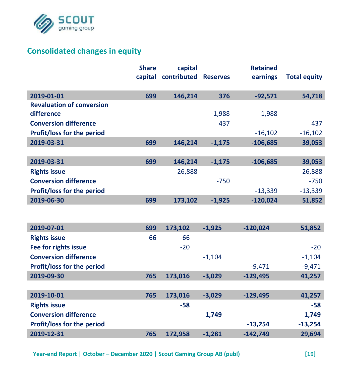

## **Consolidated changes in equity**

|                                   | <b>Share</b> | capital     |                 | <b>Retained</b> |                     |
|-----------------------------------|--------------|-------------|-----------------|-----------------|---------------------|
|                                   | capital      | contributed | <b>Reserves</b> | earnings        | <b>Total equity</b> |
| 2019-01-01                        | 699          | 146,214     | 376             | $-92,571$       | 54,718              |
| <b>Revaluation of conversion</b>  |              |             |                 |                 |                     |
| difference                        |              |             | $-1,988$        | 1,988           |                     |
| <b>Conversion difference</b>      |              |             | 437             |                 | 437                 |
| Profit/loss for the period        |              |             |                 | $-16,102$       | $-16,102$           |
| 2019-03-31                        | 699          | 146,214     | $-1,175$        | $-106,685$      | 39,053              |
|                                   |              |             |                 |                 |                     |
| 2019-03-31                        | 699          | 146,214     | $-1,175$        | $-106,685$      | 39,053              |
| <b>Rights issue</b>               |              | 26,888      |                 |                 | 26,888              |
| <b>Conversion difference</b>      |              |             | $-750$          |                 | $-750$              |
| Profit/loss for the period        |              |             |                 | $-13,339$       | $-13,339$           |
| 2019-06-30                        | 699          | 173,102     | $-1,925$        | $-120,024$      | 51,852              |
|                                   |              |             |                 |                 |                     |
| 2019-07-01                        | 699          | 173,102     | $-1.925$        | $-120,024$      | 51,852              |
| <b>Rights issue</b>               | 66           | $-66$       |                 |                 |                     |
| Fee for rights issue              |              | $-20$       |                 |                 | $-20$               |
| <b>Conversion difference</b>      |              |             | $-1,104$        |                 | $-1,104$            |
| <b>Profit/loss for the period</b> |              |             |                 | $-9,471$        | $-9,471$            |
| 2019-09-30                        | 765          | 173,016     | $-3,029$        | $-129,495$      | 41,257              |
|                                   |              |             |                 |                 |                     |
| 2019-10-01                        | 765          | 173,016     | $-3,029$        | $-129,495$      | 41,257              |
| <b>Rights issue</b>               |              | $-58$       |                 |                 | -58                 |
| <b>Conversion difference</b>      |              |             | 1,749           |                 | 1,749               |
| Profit/loss for the period        |              |             |                 | $-13,254$       | $-13,254$           |
| 2019-12-31                        | 765          | 172,958     | $-1,281$        | $-142,749$      | 29,694              |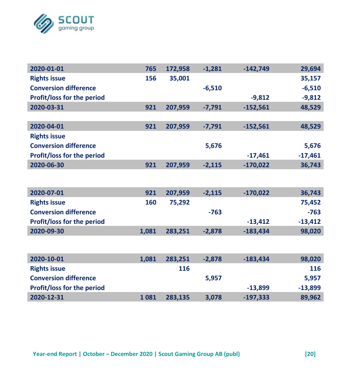

| 2020-01-01                        | 765 | 172,958 | $-1.281$ | $-142,749$ | 29,694    |
|-----------------------------------|-----|---------|----------|------------|-----------|
| <b>Rights issue</b>               | 156 | 35,001  |          |            | 35,157    |
| <b>Conversion difference</b>      |     |         | $-6,510$ |            | $-6,510$  |
| Profit/loss for the period        |     |         |          | $-9,812$   | $-9,812$  |
| 2020-03-31                        | 921 | 207,959 | $-7,791$ | $-152,561$ | 48,529    |
|                                   |     |         |          |            |           |
| 2020-04-01                        | 921 | 207,959 | $-7,791$ | $-152,561$ | 48,529    |
| <b>Rights issue</b>               |     |         |          |            |           |
| <b>Conversion difference</b>      |     |         | 5,676    |            | 5,676     |
| <b>Profit/loss for the period</b> |     |         |          | $-17,461$  | $-17,461$ |
| 2020-06-30                        | 921 | 207,959 | $-2,115$ | $-170,022$ | 36,743    |

| 2020-07-01                        | 921   | 207.959 | $-2.115$ | $-170.022$ | 36,743    |
|-----------------------------------|-------|---------|----------|------------|-----------|
| <b>Rights issue</b>               | 160   | 75.292  |          |            | 75.452    |
| <b>Conversion difference</b>      |       |         | $-763$   |            | $-763$    |
| <b>Profit/loss for the period</b> |       |         |          | $-13.412$  | $-13.412$ |
| 2020-09-30                        | 1.081 | 283.251 | $-2.878$ | $-183.434$ | 98,020    |

| 2020-10-01                        | 1.081 | 283.251 | $-2.878$ | $-183.434$ | 98,020    |
|-----------------------------------|-------|---------|----------|------------|-----------|
| <b>Rights issue</b>               |       | 116     |          |            | 116       |
| <b>Conversion difference</b>      |       |         | 5.957    |            | 5.957     |
| <b>Profit/loss for the period</b> |       |         |          | $-13.899$  | $-13.899$ |
| 2020-12-31                        | 1081  | 283.135 | 3.078    | $-197.333$ | 89,962    |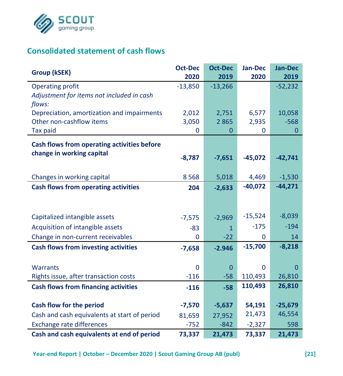

# **Consolidated statement of cash flows**

| Group (kSEK)                                 | <b>Oct-Dec</b> | <b>Oct-Dec</b> | Jan-Dec   | Jan-Dec   |
|----------------------------------------------|----------------|----------------|-----------|-----------|
|                                              | 2020           | 2019           | 2020      | 2019      |
| <b>Operating profit</b>                      | $-13,850$      | $-13,266$      |           | $-52,232$ |
| Adjustment for items not included in cash    |                |                |           |           |
| flows:                                       |                |                |           |           |
| Depreciation, amortization and impairments   | 2,012          | 2,751          | 6,577     | 10,058    |
| Other non-cashflow items                     | 3,050          | 2865           | 2,935     | $-568$    |
| <b>Tax paid</b>                              | 0              | 0              | 0         | 0         |
| Cash flows from operating activities before  |                |                |           |           |
| change in working capital                    | $-8,787$       | $-7,651$       | $-45,072$ | $-42,741$ |
|                                              |                |                |           |           |
| Changes in working capital                   | 8568           | 5,018          | 4,469     | $-1,530$  |
| <b>Cash flows from operating activities</b>  | 204            | $-2,633$       | $-40,072$ | $-44,271$ |
|                                              |                |                |           |           |
|                                              |                |                |           |           |
| Capitalized intangible assets                | $-7,575$       | $-2,969$       | $-15,524$ | $-8,039$  |
| Acquisition of intangible assets             | $-83$          | $\mathbf{1}$   | $-175$    | $-194$    |
| Change in non-current receivables            | $\Omega$       | $-22$          | 0         | 14        |
| <b>Cash flows from investing activities</b>  | $-7,658$       | $-2.946$       | $-15,700$ | $-8,218$  |
|                                              |                |                |           |           |
| <b>Warrants</b>                              | 0              | $\mathbf{0}$   | 0         | 0         |
| Rights issue, after transaction costs        | $-116$         | $-58$          | 110,493   | 26,810    |
| <b>Cash flows from financing activities</b>  | $-116$         | $-58$          | 110,493   | 26,810    |
|                                              |                |                |           |           |
| Cash flow for the period                     | $-7,570$       | $-5,637$       | 54,191    | $-25,679$ |
| Cash and cash equivalents at start of period | 81,659         | 27,952         | 21,473    | 46,554    |
| <b>Exchange rate differences</b>             | $-752$         | $-842$         | $-2,327$  | 598       |
| Cash and cash equivalents at end of period   | 73,337         | 21,473         | 73,337    | 21,473    |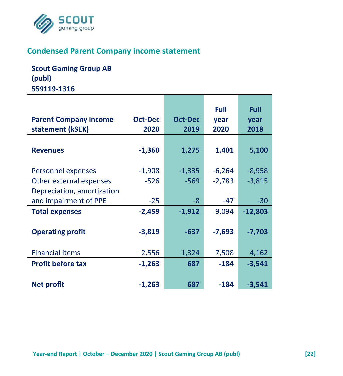

## **Condensed Parent Company income statement**

**Scout Gaming Group AB (publ) 559119-1316**

| <b>Parent Company income</b><br>statement (kSEK) | Oct-Dec<br>2020 | Oct-Dec<br>2019 | Full<br>year<br>2020 | Full<br>year<br>2018 |
|--------------------------------------------------|-----------------|-----------------|----------------------|----------------------|
|                                                  |                 |                 |                      |                      |
| <b>Revenues</b>                                  | $-1,360$        | 1,275           | 1,401                | 5,100                |
| Personnel expenses                               | $-1,908$        | $-1,335$        | $-6,264$             | $-8,958$             |
| Other external expenses                          | $-526$          | $-569$          | $-2,783$             | $-3,815$             |
| Depreciation, amortization                       |                 |                 |                      |                      |
| and impairment of PPE                            | $-25$           | -8              | $-47$                | $-30$                |
| <b>Total expenses</b>                            | $-2,459$        | $-1,912$        | $-9.094$             | $-12,803$            |
|                                                  |                 |                 |                      |                      |
| <b>Operating profit</b>                          | $-3,819$        | $-637$          | $-7,693$             | $-7,703$             |
|                                                  |                 |                 |                      |                      |
| <b>Financial items</b>                           | 2,556           | 1,324           | 7,508                | 4,162                |
| <b>Profit before tax</b>                         | $-1,263$        | 687             | $-184$               | $-3,541$             |
|                                                  |                 |                 |                      |                      |
| <b>Net profit</b>                                | $-1,263$        | 687             | $-184$               | $-3,541$             |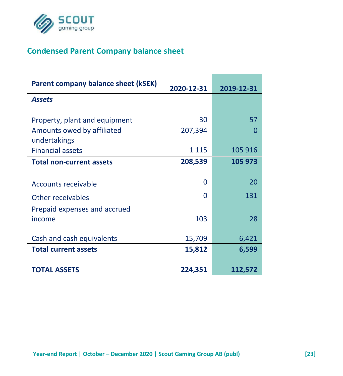

# **Condensed Parent Company balance sheet**

| Parent company balance sheet (kSEK)        | 2020-12-31 | 2019-12-31 |
|--------------------------------------------|------------|------------|
| <b>Assets</b>                              |            |            |
| Property, plant and equipment              | 30         | 57         |
| Amounts owed by affiliated<br>undertakings | 207,394    | n          |
| <b>Financial assets</b>                    | 1 1 1 5    | 105 916    |
| <b>Total non-current assets</b>            | 208,539    | 105 973    |
| Accounts receivable                        | 0          | 20         |
| Other receivables                          | O          | 131        |
| Prepaid expenses and accrued<br>income     | 103        | 28         |
| Cash and cash equivalents                  | 15,709     | 6,421      |
| <b>Total current assets</b>                | 15,812     | 6,599      |
| <b>TOTAL ASSETS</b>                        | 224,351    | 112,572    |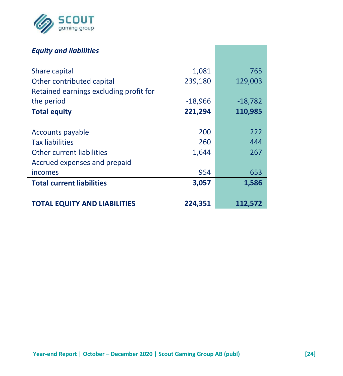

## *Equity and liabilities*

| Share capital                          | 1,081     | 765       |
|----------------------------------------|-----------|-----------|
| Other contributed capital              | 239,180   | 129,003   |
| Retained earnings excluding profit for |           |           |
| the period                             | $-18,966$ | $-18,782$ |
| <b>Total equity</b>                    | 221,294   | 110,985   |
|                                        |           |           |
| Accounts payable                       | 200       | 222       |
| <b>Tax liabilities</b>                 | 260       | 444       |
| Other current liabilities              | 1,644     | 267       |
| Accrued expenses and prepaid           |           |           |
| incomes                                | 954       | 653       |
| <b>Total current liabilities</b>       | 3,057     | 1,586     |
|                                        |           |           |
| TOTAL EQUITY AND LIABILITIES           | 224,351   | 112,572   |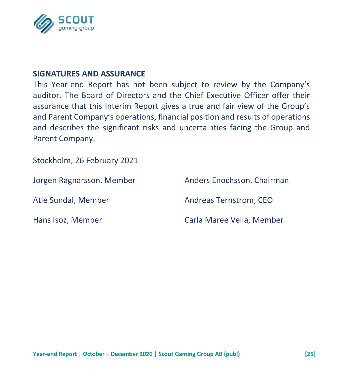

#### **SIGNATURES AND ASSURANCE**

This Year-end Report has not been subject to review by the Company's auditor. The Board of Directors and the Chief Executive Officer offer their assurance that this Interim Report gives a true and fair view of the Group's and Parent Company's operations, financial position and results of operations and describes the significant risks and uncertainties facing the Group and Parent Company.

Stockholm, 26 February 2021

Hans Isoz, Member Carla Maree Vella, Member

Jorgen Ragnarsson, Member Anders Enochsson, Chairman Atle Sundal, Member Andreas Ternstrom, CEO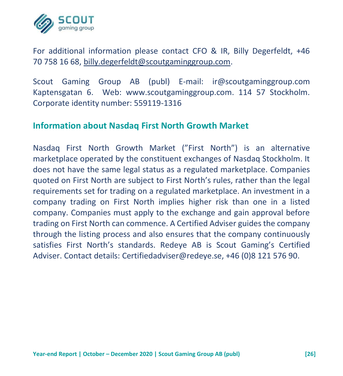

For additional information please contact CFO & IR, Billy Degerfeldt, +46 70 758 16 68, [billy.degerfeldt@scoutgaminggroup.com.](mailto:billy.degerfeldt@scoutgaminggroup.com)

Scout Gaming Group AB (publ) E-mail: ir@scoutgaminggroup.com Kaptensgatan 6. Web: www.scoutgaminggroup.com. 114 57 Stockholm. Corporate identity number: 559119-1316

#### **Information about Nasdaq First North Growth Market**

Nasdaq First North Growth Market ("First North") is an alternative marketplace operated by the constituent exchanges of Nasdaq Stockholm. It does not have the same legal status as a regulated marketplace. Companies quoted on First North are subject to First North's rules, rather than the legal requirements set for trading on a regulated marketplace. An investment in a company trading on First North implies higher risk than one in a listed company. Companies must apply to the exchange and gain approval before trading on First North can commence. A Certified Adviser guides the company through the listing process and also ensures that the company continuously satisfies First North's standards. Redeye AB is Scout Gaming's Certified Adviser. Contact details: Certifiedadviser@redeye.se, +46 (0)8 121 576 90.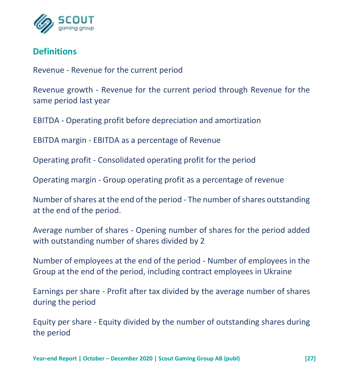

## **Definitions**

Revenue - Revenue for the current period

Revenue growth - Revenue for the current period through Revenue for the same period last year

EBITDA - Operating profit before depreciation and amortization

EBITDA margin - EBITDA as a percentage of Revenue

Operating profit - Consolidated operating profit for the period

Operating margin - Group operating profit as a percentage of revenue

Number of shares at the end of the period - The number of shares outstanding at the end of the period.

Average number of shares - Opening number of shares for the period added with outstanding number of shares divided by 2

Number of employees at the end of the period - Number of employees in the Group at the end of the period, including contract employees in Ukraine

Earnings per share - Profit after tax divided by the average number of shares during the period

Equity per share - Equity divided by the number of outstanding shares during the period